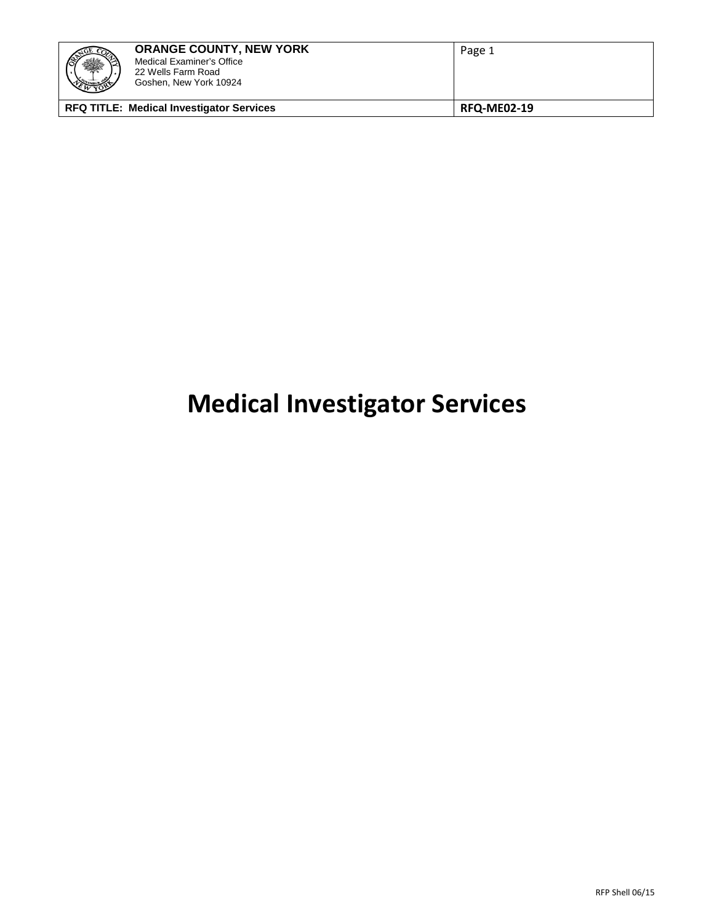| 科                                               | <b>ORANGE COUNTY, NEW YORK</b><br>Medical Examiner's Office<br>22 Wells Farm Road<br>Goshen, New York 10924 | Page 1             |  |
|-------------------------------------------------|-------------------------------------------------------------------------------------------------------------|--------------------|--|
| <b>RFQ TITLE: Medical Investigator Services</b> |                                                                                                             | <b>RFQ-ME02-19</b> |  |

# **Medical Investigator Services**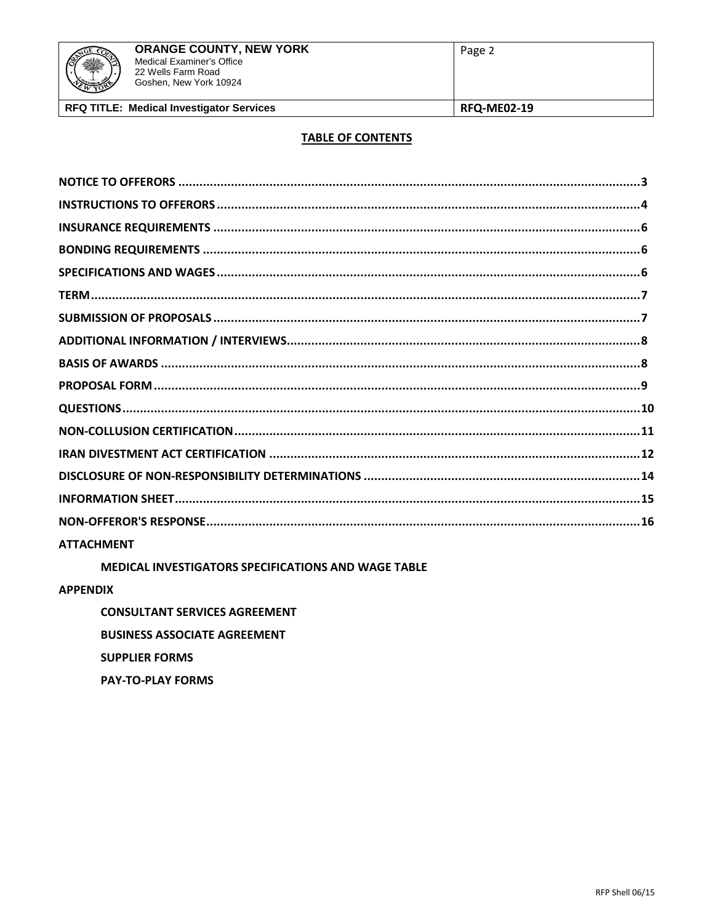# **TABLE OF CONTENTS**

| <b>ATTACHMENT</b> |  |
|-------------------|--|

MEDICAL INVESTIGATORS SPECIFICATIONS AND WAGE TABLE

**APPENDIX** 

**CONSULTANT SERVICES AGREEMENT BUSINESS ASSOCIATE AGREEMENT SUPPLIER FORMS PAY-TO-PLAY FORMS**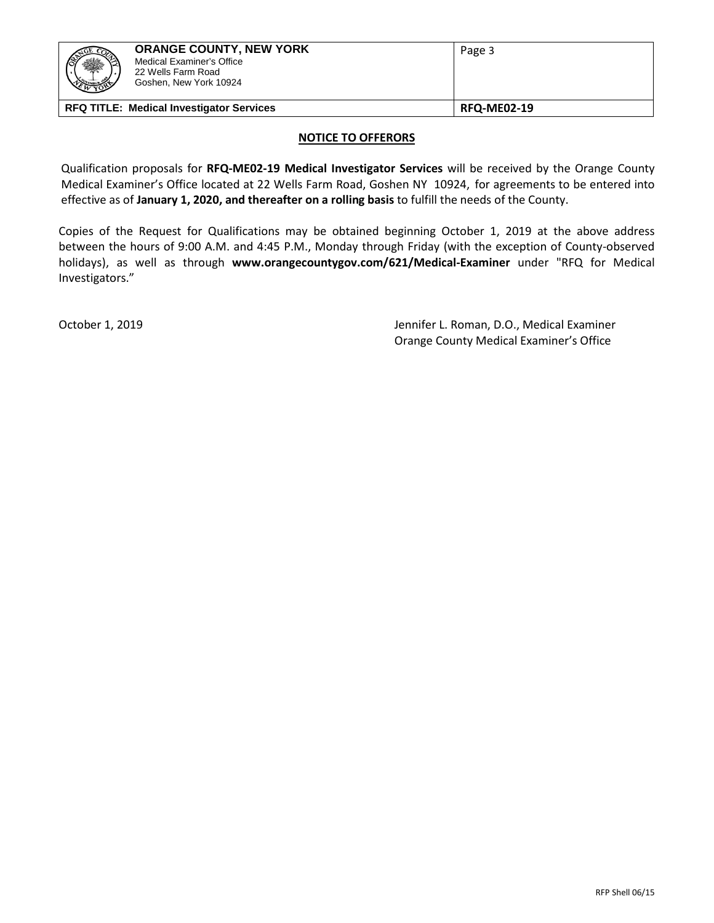| 轢                                               | <b>ORANGE COUNTY, NEW YORK</b><br>Medical Examiner's Office<br>22 Wells Farm Road<br>Goshen, New York 10924 | Page 3             |
|-------------------------------------------------|-------------------------------------------------------------------------------------------------------------|--------------------|
| <b>RFQ TITLE: Medical Investigator Services</b> |                                                                                                             | <b>RFQ-ME02-19</b> |

## **NOTICE TO OFFERORS**

Qualification proposals for **RFQ-ME02-19 Medical Investigator Services** will be received by the Orange County Medical Examiner's Office located at 22 Wells Farm Road, Goshen NY 10924, for agreements to be entered into effective as of **January 1, 2020, and thereafter on a rolling basis** to fulfill the needs of the County.

Copies of the Request for Qualifications may be obtained beginning October 1, 2019 at the above address between the hours of 9:00 A.M. and 4:45 P.M., Monday through Friday (with the exception of County-observed holidays), as well as through **www.orangecountygov.com/621/Medical-Examiner** under "RFQ for Medical Investigators."

October 1, 2019 Jennifer L. Roman, D.O., Medical Examiner Orange County Medical Examiner's Office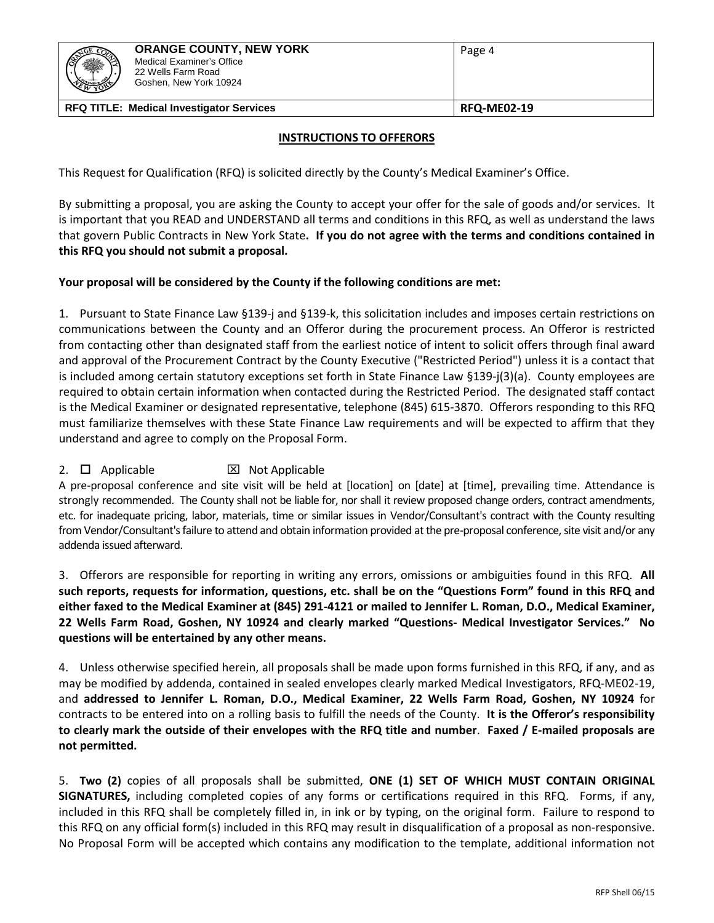| ¥<br>WYORY                                      | <b>ORANGE COUNTY, NEW YORK</b><br>Medical Examiner's Office<br>22 Wells Farm Road<br>Goshen, New York 10924 | Page 4             |
|-------------------------------------------------|-------------------------------------------------------------------------------------------------------------|--------------------|
| <b>RFQ TITLE: Medical Investigator Services</b> |                                                                                                             | <b>RFQ-ME02-19</b> |

## **INSTRUCTIONS TO OFFERORS**

This Request for Qualification (RFQ) is solicited directly by the County's Medical Examiner's Office.

By submitting a proposal, you are asking the County to accept your offer for the sale of goods and/or services. It is important that you READ and UNDERSTAND all terms and conditions in this RFQ, as well as understand the laws that govern Public Contracts in New York State**. If you do not agree with the terms and conditions contained in this RFQ you should not submit a proposal.**

## **Your proposal will be considered by the County if the following conditions are met:**

1. Pursuant to State Finance Law §139-j and §139-k, this solicitation includes and imposes certain restrictions on communications between the County and an Offeror during the procurement process. An Offeror is restricted from contacting other than designated staff from the earliest notice of intent to solicit offers through final award and approval of the Procurement Contract by the County Executive ("Restricted Period") unless it is a contact that is included among certain statutory exceptions set forth in State Finance Law §139-j(3)(a). County employees are required to obtain certain information when contacted during the Restricted Period. The designated staff contact is the Medical Examiner or designated representative, telephone (845) 615-3870. Offerors responding to this RFQ must familiarize themselves with these State Finance Law requirements and will be expected to affirm that they understand and agree to comply on the Proposal Form.

# 2.  $\Box$  Applicable  $\boxtimes$  Not Applicable

A pre-proposal conference and site visit will be held at [location] on [date] at [time], prevailing time. Attendance is strongly recommended. The County shall not be liable for, nor shall it review proposed change orders, contract amendments, etc. for inadequate pricing, labor, materials, time or similar issues in Vendor/Consultant's contract with the County resulting from Vendor/Consultant's failure to attend and obtain information provided at the pre-proposal conference, site visit and/or any addenda issued afterward.

3. Offerors are responsible for reporting in writing any errors, omissions or ambiguities found in this RFQ. **All such reports, requests for information, questions, etc. shall be on the "Questions Form" found in this RFQ and either faxed to the Medical Examiner at (845) 291-4121 or mailed to Jennifer L. Roman, D.O., Medical Examiner, 22 Wells Farm Road, Goshen, NY 10924 and clearly marked "Questions- Medical Investigator Services." No questions will be entertained by any other means.**

4. Unless otherwise specified herein, all proposals shall be made upon forms furnished in this RFQ, if any, and as may be modified by addenda, contained in sealed envelopes clearly marked Medical Investigators, RFQ-ME02-19, and **addressed to Jennifer L. Roman, D.O., Medical Examiner, 22 Wells Farm Road, Goshen, NY 10924** for contracts to be entered into on a rolling basis to fulfill the needs of the County. **It is the Offeror's responsibility to clearly mark the outside of their envelopes with the RFQ title and number**. **Faxed / E-mailed proposals are not permitted.**

5. **Two (2)** copies of all proposals shall be submitted, **ONE (1) SET OF WHICH MUST CONTAIN ORIGINAL SIGNATURES,** including completed copies of any forms or certifications required in this RFQ. Forms, if any, included in this RFQ shall be completely filled in, in ink or by typing, on the original form. Failure to respond to this RFQ on any official form(s) included in this RFQ may result in disqualification of a proposal as non-responsive. No Proposal Form will be accepted which contains any modification to the template, additional information not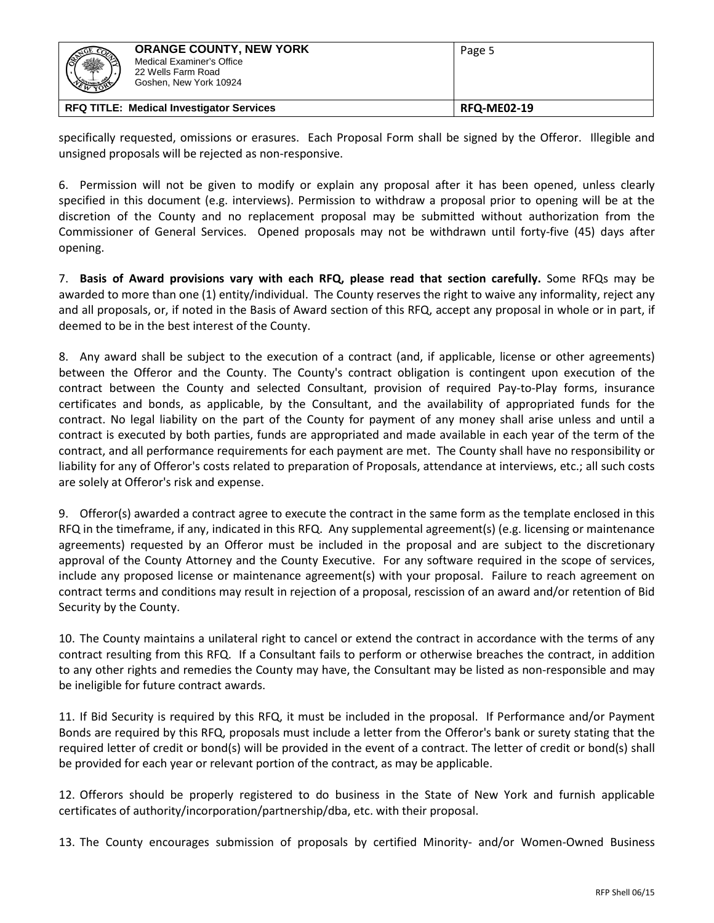| <u>JGE CO2</u><br>爨<br>WYORY                    | <b>ORANGE COUNTY, NEW YORK</b><br>Medical Examiner's Office<br>22 Wells Farm Road<br>Goshen, New York 10924 | Page 5             |
|-------------------------------------------------|-------------------------------------------------------------------------------------------------------------|--------------------|
| <b>RFQ TITLE: Medical Investigator Services</b> |                                                                                                             | <b>RFQ-ME02-19</b> |

specifically requested, omissions or erasures. Each Proposal Form shall be signed by the Offeror. Illegible and unsigned proposals will be rejected as non-responsive.

6. Permission will not be given to modify or explain any proposal after it has been opened, unless clearly specified in this document (e.g. interviews). Permission to withdraw a proposal prior to opening will be at the discretion of the County and no replacement proposal may be submitted without authorization from the Commissioner of General Services. Opened proposals may not be withdrawn until forty-five (45) days after opening.

7. **Basis of Award provisions vary with each RFQ, please read that section carefully.** Some RFQs may be awarded to more than one (1) entity/individual. The County reserves the right to waive any informality, reject any and all proposals, or, if noted in the Basis of Award section of this RFQ, accept any proposal in whole or in part, if deemed to be in the best interest of the County.

8. Any award shall be subject to the execution of a contract (and, if applicable, license or other agreements) between the Offeror and the County. The County's contract obligation is contingent upon execution of the contract between the County and selected Consultant, provision of required Pay-to-Play forms, insurance certificates and bonds, as applicable, by the Consultant, and the availability of appropriated funds for the contract. No legal liability on the part of the County for payment of any money shall arise unless and until a contract is executed by both parties, funds are appropriated and made available in each year of the term of the contract, and all performance requirements for each payment are met. The County shall have no responsibility or liability for any of Offeror's costs related to preparation of Proposals, attendance at interviews, etc.; all such costs are solely at Offeror's risk and expense.

9. Offeror(s) awarded a contract agree to execute the contract in the same form as the template enclosed in this RFQ in the timeframe, if any, indicated in this RFQ. Any supplemental agreement(s) (e.g. licensing or maintenance agreements) requested by an Offeror must be included in the proposal and are subject to the discretionary approval of the County Attorney and the County Executive. For any software required in the scope of services, include any proposed license or maintenance agreement(s) with your proposal. Failure to reach agreement on contract terms and conditions may result in rejection of a proposal, rescission of an award and/or retention of Bid Security by the County.

10. The County maintains a unilateral right to cancel or extend the contract in accordance with the terms of any contract resulting from this RFQ. If a Consultant fails to perform or otherwise breaches the contract, in addition to any other rights and remedies the County may have, the Consultant may be listed as non-responsible and may be ineligible for future contract awards.

11. If Bid Security is required by this RFQ, it must be included in the proposal. If Performance and/or Payment Bonds are required by this RFQ, proposals must include a letter from the Offeror's bank or surety stating that the required letter of credit or bond(s) will be provided in the event of a contract. The letter of credit or bond(s) shall be provided for each year or relevant portion of the contract, as may be applicable.

12. Offerors should be properly registered to do business in the State of New York and furnish applicable certificates of authority/incorporation/partnership/dba, etc. with their proposal.

13. The County encourages submission of proposals by certified Minority- and/or Women-Owned Business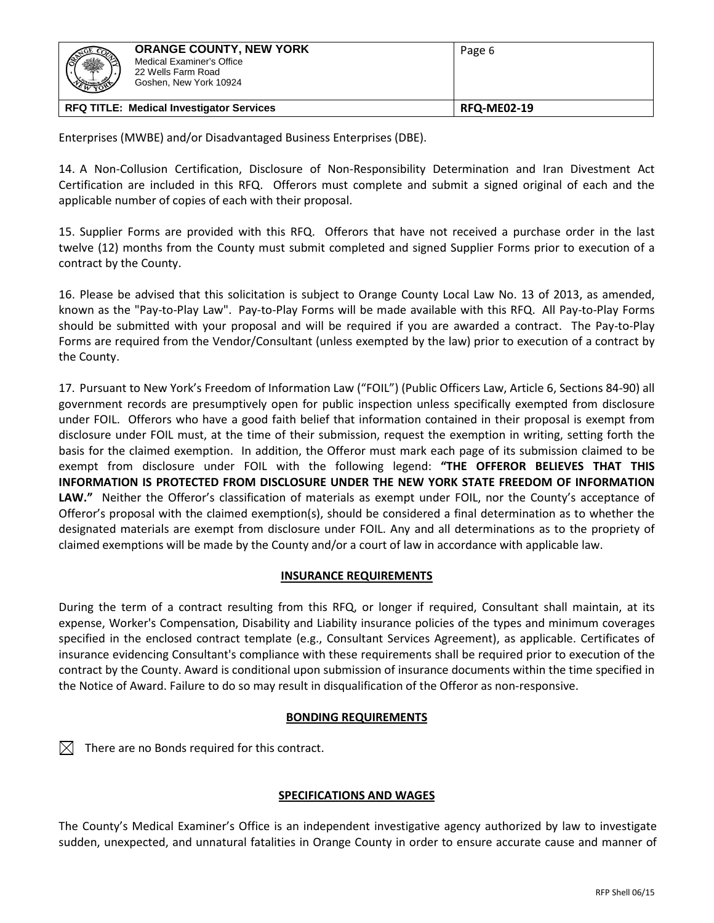| <u> 70F CO</u><br>蟣<br><b>EMBER</b>             | <b>ORANGE COUNTY, NEW YORK</b><br>Medical Examiner's Office<br>22 Wells Farm Road<br>Goshen, New York 10924 | Page 6             |
|-------------------------------------------------|-------------------------------------------------------------------------------------------------------------|--------------------|
| <b>RFQ TITLE: Medical Investigator Services</b> |                                                                                                             | <b>RFQ-ME02-19</b> |

Enterprises (MWBE) and/or Disadvantaged Business Enterprises (DBE).

14. A Non-Collusion Certification, Disclosure of Non-Responsibility Determination and Iran Divestment Act Certification are included in this RFQ. Offerors must complete and submit a signed original of each and the applicable number of copies of each with their proposal.

15. Supplier Forms are provided with this RFQ. Offerors that have not received a purchase order in the last twelve (12) months from the County must submit completed and signed Supplier Forms prior to execution of a contract by the County.

16. Please be advised that this solicitation is subject to Orange County Local Law No. 13 of 2013, as amended, known as the "Pay-to-Play Law". Pay-to-Play Forms will be made available with this RFQ. All Pay-to-Play Forms should be submitted with your proposal and will be required if you are awarded a contract. The Pay-to-Play Forms are required from the Vendor/Consultant (unless exempted by the law) prior to execution of a contract by the County.

17. Pursuant to New York's Freedom of Information Law ("FOIL") (Public Officers Law, Article 6, Sections 84-90) all government records are presumptively open for public inspection unless specifically exempted from disclosure under FOIL. Offerors who have a good faith belief that information contained in their proposal is exempt from disclosure under FOIL must, at the time of their submission, request the exemption in writing, setting forth the basis for the claimed exemption. In addition, the Offeror must mark each page of its submission claimed to be exempt from disclosure under FOIL with the following legend: **"THE OFFEROR BELIEVES THAT THIS INFORMATION IS PROTECTED FROM DISCLOSURE UNDER THE NEW YORK STATE FREEDOM OF INFORMATION LAW."** Neither the Offeror's classification of materials as exempt under FOIL, nor the County's acceptance of Offeror's proposal with the claimed exemption(s), should be considered a final determination as to whether the designated materials are exempt from disclosure under FOIL. Any and all determinations as to the propriety of claimed exemptions will be made by the County and/or a court of law in accordance with applicable law.

# **INSURANCE REQUIREMENTS**

During the term of a contract resulting from this RFQ, or longer if required, Consultant shall maintain, at its expense, Worker's Compensation, Disability and Liability insurance policies of the types and minimum coverages specified in the enclosed contract template (e.g., Consultant Services Agreement), as applicable. Certificates of insurance evidencing Consultant's compliance with these requirements shall be required prior to execution of the contract by the County. Award is conditional upon submission of insurance documents within the time specified in the Notice of Award. Failure to do so may result in disqualification of the Offeror as non-responsive.

# **BONDING REQUIREMENTS**

 $\boxtimes$  There are no Bonds required for this contract.

# **SPECIFICATIONS AND WAGES**

The County's Medical Examiner's Office is an independent investigative agency authorized by law to investigate sudden, unexpected, and unnatural fatalities in Orange County in order to ensure accurate cause and manner of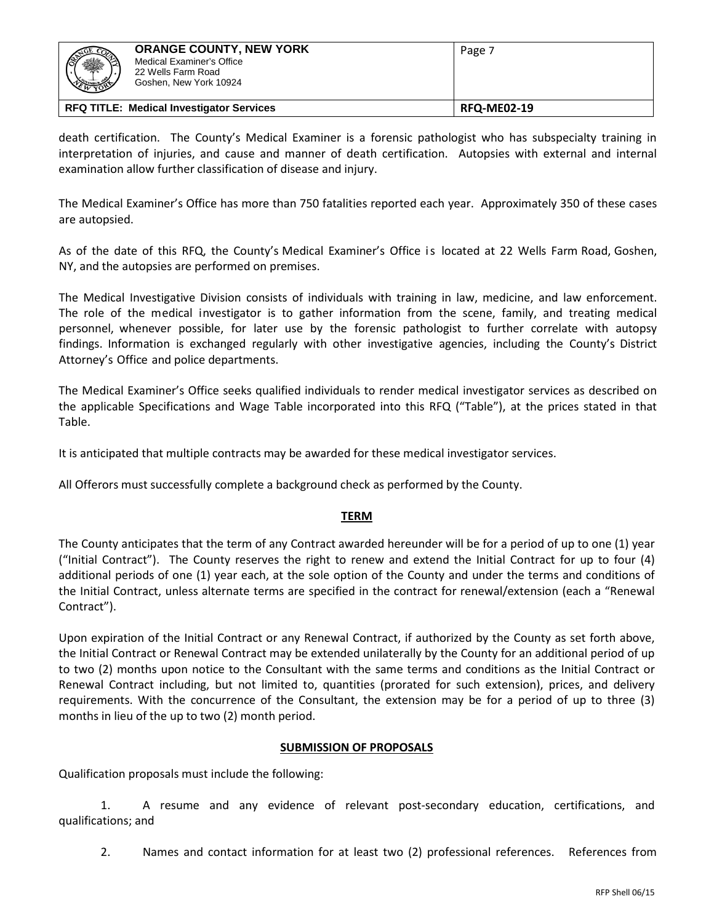| 骤                                               | <b>ORANGE COUNTY, NEW YORK</b><br>Medical Examiner's Office<br>22 Wells Farm Road<br>Goshen, New York 10924 | Page 7             |
|-------------------------------------------------|-------------------------------------------------------------------------------------------------------------|--------------------|
| <b>RFQ TITLE: Medical Investigator Services</b> |                                                                                                             | <b>RFQ-ME02-19</b> |

death certification. The County's Medical Examiner is a forensic pathologist who has subspecialty training in interpretation of injuries, and cause and manner of death certification. Autopsies with external and internal examination allow further classification of disease and injury.

The Medical Examiner's Office has more than 750 fatalities reported each year. Approximately 350 of these cases are autopsied.

As of the date of this RFQ, the County's Medical Examiner's Office is located at 22 Wells Farm Road, Goshen, NY, and the autopsies are performed on premises.

The Medical Investigative Division consists of individuals with training in law, medicine, and law enforcement. The role of the medical investigator is to gather information from the scene, family, and treating medical personnel, whenever possible, for later use by the forensic pathologist to further correlate with autopsy findings. Information is exchanged regularly with other investigative agencies, including the County's District Attorney's Office and police departments.

The Medical Examiner's Office seeks qualified individuals to render medical investigator services as described on the applicable Specifications and Wage Table incorporated into this RFQ ("Table"), at the prices stated in that Table.

It is anticipated that multiple contracts may be awarded for these medical investigator services.

All Offerors must successfully complete a background check as performed by the County.

# **TERM**

The County anticipates that the term of any Contract awarded hereunder will be for a period of up to one (1) year ("Initial Contract"). The County reserves the right to renew and extend the Initial Contract for up to four (4) additional periods of one (1) year each, at the sole option of the County and under the terms and conditions of the Initial Contract, unless alternate terms are specified in the contract for renewal/extension (each a "Renewal Contract").

Upon expiration of the Initial Contract or any Renewal Contract, if authorized by the County as set forth above, the Initial Contract or Renewal Contract may be extended unilaterally by the County for an additional period of up to two (2) months upon notice to the Consultant with the same terms and conditions as the Initial Contract or Renewal Contract including, but not limited to, quantities (prorated for such extension), prices, and delivery requirements. With the concurrence of the Consultant, the extension may be for a period of up to three (3) months in lieu of the up to two (2) month period.

# **SUBMISSION OF PROPOSALS**

Qualification proposals must include the following:

1. A resume and any evidence of relevant post-secondary education, certifications, and qualifications; and

2. Names and contact information for at least two (2) professional references. References from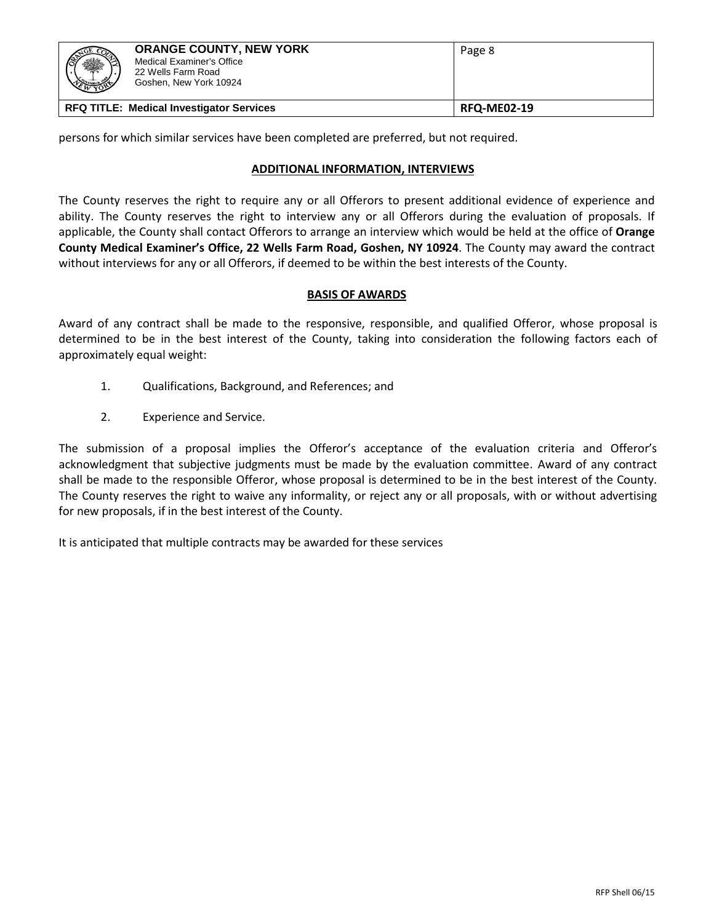| 3GE CO<br>轢                                     | <b>ORANGE COUNTY, NEW YORK</b><br>Medical Examiner's Office<br>22 Wells Farm Road<br>Goshen, New York 10924 | Page 8             |
|-------------------------------------------------|-------------------------------------------------------------------------------------------------------------|--------------------|
| <b>RFQ TITLE: Medical Investigator Services</b> |                                                                                                             | <b>RFQ-ME02-19</b> |

persons for which similar services have been completed are preferred, but not required.

# **ADDITIONAL INFORMATION, INTERVIEWS**

The County reserves the right to require any or all Offerors to present additional evidence of experience and ability. The County reserves the right to interview any or all Offerors during the evaluation of proposals. If applicable, the County shall contact Offerors to arrange an interview which would be held at the office of **Orange County Medical Examiner's Office, 22 Wells Farm Road, Goshen, NY 10924**. The County may award the contract without interviews for any or all Offerors, if deemed to be within the best interests of the County.

# **BASIS OF AWARDS**

Award of any contract shall be made to the responsive, responsible, and qualified Offeror, whose proposal is determined to be in the best interest of the County, taking into consideration the following factors each of approximately equal weight:

- 1. Qualifications, Background, and References; and
- 2. Experience and Service.

The submission of a proposal implies the Offeror's acceptance of the evaluation criteria and Offeror's acknowledgment that subjective judgments must be made by the evaluation committee. Award of any contract shall be made to the responsible Offeror, whose proposal is determined to be in the best interest of the County. The County reserves the right to waive any informality, or reject any or all proposals, with or without advertising for new proposals, if in the best interest of the County.

It is anticipated that multiple contracts may be awarded for these services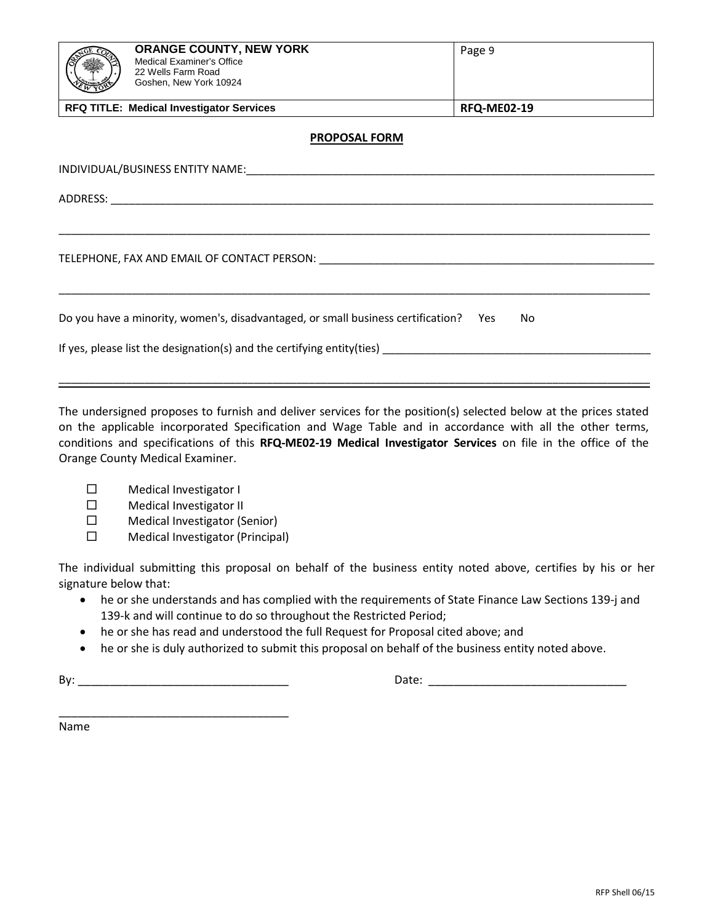| <b>ORANGE COUNTY, NEW YORK</b><br><b>Medical Examiner's Office</b><br>22 Wells Farm Road<br>Goshen, New York 10924                                                                                                            | Page 9             |
|-------------------------------------------------------------------------------------------------------------------------------------------------------------------------------------------------------------------------------|--------------------|
| <b>RFQ TITLE: Medical Investigator Services</b>                                                                                                                                                                               | <b>RFQ-ME02-19</b> |
| <b>PROPOSAL FORM</b>                                                                                                                                                                                                          |                    |
|                                                                                                                                                                                                                               |                    |
|                                                                                                                                                                                                                               |                    |
| TELEPHONE, FAX AND EMAIL OF CONTACT PERSON: University of the contract of the contract of the contract of the contract of the contract of the contract of the contract of the contract of the contract of the contract of the |                    |
|                                                                                                                                                                                                                               |                    |
| Do you have a minority, women's, disadvantaged, or small business certification? Yes                                                                                                                                          | No.                |
| If yes, please list the designation(s) and the certifying entity(ties) _                                                                                                                                                      |                    |

The undersigned proposes to furnish and deliver services for the position(s) selected below at the prices stated on the applicable incorporated Specification and Wage Table and in accordance with all the other terms, conditions and specifications of this **RFQ-ME02-19 Medical Investigator Services** on file in the office of the Orange County Medical Examiner.

\_\_\_\_\_\_\_\_\_\_\_\_\_\_\_\_\_\_\_\_\_\_\_\_\_\_\_\_\_\_\_\_\_\_\_\_\_\_\_\_\_\_\_\_\_\_\_\_\_\_\_\_\_\_\_\_\_\_\_\_\_\_\_\_\_\_\_\_\_\_\_\_\_\_\_\_\_\_\_\_\_\_\_\_\_\_\_\_\_\_\_\_\_\_\_\_\_

- Medical Investigator I
- Medical Investigator II
- $\square$  Medical Investigator (Senior)
- $\square$  Medical Investigator (Principal)

The individual submitting this proposal on behalf of the business entity noted above, certifies by his or her signature below that:

- he or she understands and has complied with the requirements of State Finance Law Sections 139-j and 139-k and will continue to do so throughout the Restricted Period;
- he or she has read and understood the full Request for Proposal cited above; and
- he or she is duly authorized to submit this proposal on behalf of the business entity noted above.

By: \_\_\_\_\_\_\_\_\_\_\_\_\_\_\_\_\_\_\_\_\_\_\_\_\_\_\_\_\_\_\_\_\_ Date: \_\_\_\_\_\_\_\_\_\_\_\_\_\_\_\_\_\_\_\_\_\_\_\_\_\_\_\_\_\_\_

\_\_\_\_\_\_\_\_\_\_\_\_\_\_\_\_\_\_\_\_\_\_\_\_\_\_\_\_\_\_\_\_\_\_\_\_

Name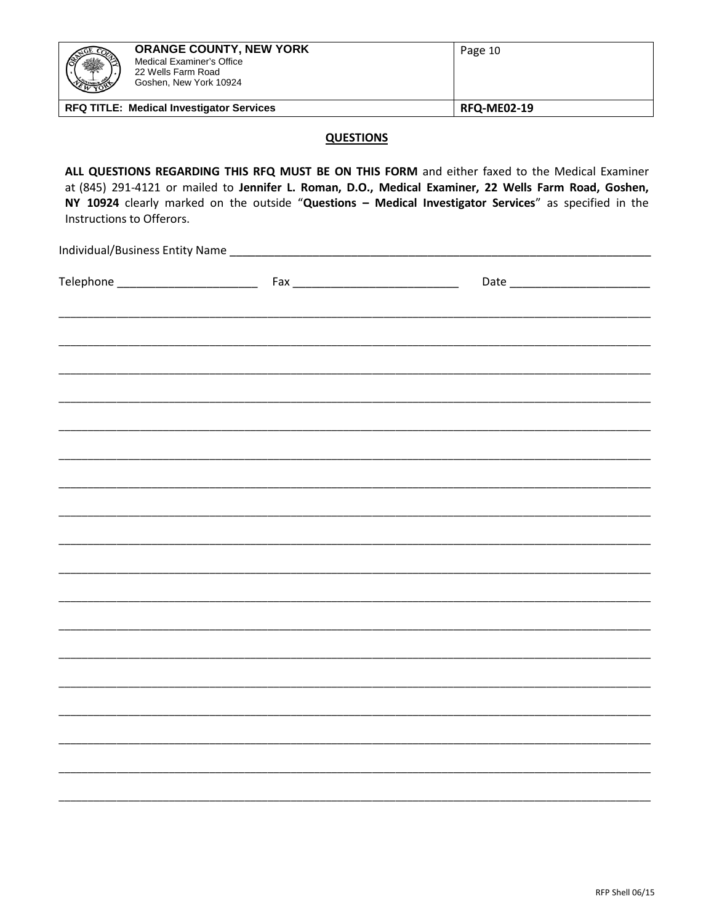| 囊<br>EWYOR !!                                   | <b>ORANGE COUNTY, NEW YORK</b><br>Medical Examiner's Office<br>22 Wells Farm Road<br>Goshen, New York 10924 | Page 10            |
|-------------------------------------------------|-------------------------------------------------------------------------------------------------------------|--------------------|
| <b>RFQ TITLE: Medical Investigator Services</b> |                                                                                                             | <b>RFQ-ME02-19</b> |

## **QUESTIONS**

ALL QUESTIONS REGARDING THIS RFQ MUST BE ON THIS FORM and either faxed to the Medical Examiner at (845) 291-4121 or mailed to Jennifer L. Roman, D.O., Medical Examiner, 22 Wells Farm Road, Goshen, NY 10924 clearly marked on the outside "Questions - Medical Investigator Services" as specified in the Instructions to Offerors.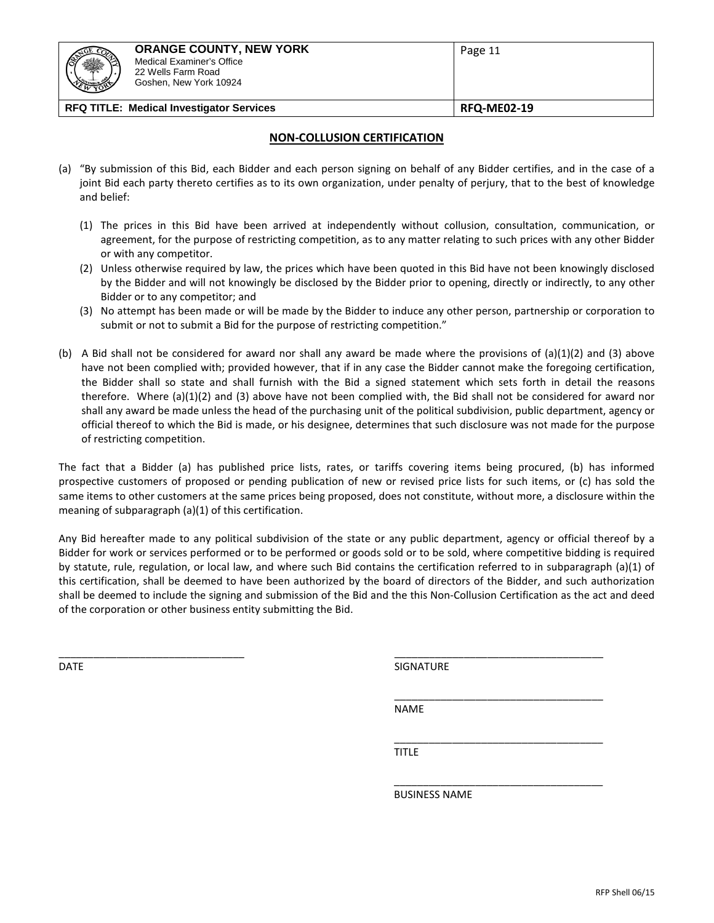| 22 Wells Farm Road<br>Goshen, New York 10924 |  |
|----------------------------------------------|--|
| Medical Examiner's Office                    |  |
| <b>ORANGE COUNTY, NEW YORK</b><br>Page 11    |  |

## **NON-COLLUSION CERTIFICATION**

- (a) "By submission of this Bid, each Bidder and each person signing on behalf of any Bidder certifies, and in the case of a joint Bid each party thereto certifies as to its own organization, under penalty of perjury, that to the best of knowledge and belief:
	- (1) The prices in this Bid have been arrived at independently without collusion, consultation, communication, or agreement, for the purpose of restricting competition, as to any matter relating to such prices with any other Bidder or with any competitor.
	- (2) Unless otherwise required by law, the prices which have been quoted in this Bid have not been knowingly disclosed by the Bidder and will not knowingly be disclosed by the Bidder prior to opening, directly or indirectly, to any other Bidder or to any competitor; and
	- (3) No attempt has been made or will be made by the Bidder to induce any other person, partnership or corporation to submit or not to submit a Bid for the purpose of restricting competition."
- (b) A Bid shall not be considered for award nor shall any award be made where the provisions of (a)(1)(2) and (3) above have not been complied with; provided however, that if in any case the Bidder cannot make the foregoing certification, the Bidder shall so state and shall furnish with the Bid a signed statement which sets forth in detail the reasons therefore. Where (a)(1)(2) and (3) above have not been complied with, the Bid shall not be considered for award nor shall any award be made unless the head of the purchasing unit of the political subdivision, public department, agency or official thereof to which the Bid is made, or his designee, determines that such disclosure was not made for the purpose of restricting competition.

The fact that a Bidder (a) has published price lists, rates, or tariffs covering items being procured, (b) has informed prospective customers of proposed or pending publication of new or revised price lists for such items, or (c) has sold the same items to other customers at the same prices being proposed, does not constitute, without more, a disclosure within the meaning of subparagraph (a)(1) of this certification.

Any Bid hereafter made to any political subdivision of the state or any public department, agency or official thereof by a Bidder for work or services performed or to be performed or goods sold or to be sold, where competitive bidding is required by statute, rule, regulation, or local law, and where such Bid contains the certification referred to in subparagraph (a)(1) of this certification, shall be deemed to have been authorized by the board of directors of the Bidder, and such authorization shall be deemed to include the signing and submission of the Bid and the this Non-Collusion Certification as the act and deed of the corporation or other business entity submitting the Bid.

\_\_\_\_\_\_\_\_\_\_\_\_\_\_\_\_\_\_\_\_\_\_\_\_\_\_\_\_\_\_\_\_ \_\_\_\_\_\_\_\_\_\_\_\_\_\_\_\_\_\_\_\_\_\_\_\_\_\_\_\_\_\_\_\_\_\_\_\_

DATE SIGNATURE AND SIGNATURE SIGNATURE AND SIGNATURE AND SIGNATURE AND SIGNATURE AND SIGNATURE

\_\_\_\_\_\_\_\_\_\_\_\_\_\_\_\_\_\_\_\_\_\_\_\_\_\_\_\_\_\_\_\_\_\_\_\_

\_\_\_\_\_\_\_\_\_\_\_\_\_\_\_\_\_\_\_\_\_\_\_\_\_\_\_\_\_\_\_\_\_\_\_\_

NAME

\_\_\_\_\_\_\_\_\_\_\_\_\_\_\_\_\_\_\_\_\_\_\_\_\_\_\_\_\_\_\_\_\_\_\_\_ TITLE

BUSINESS NAME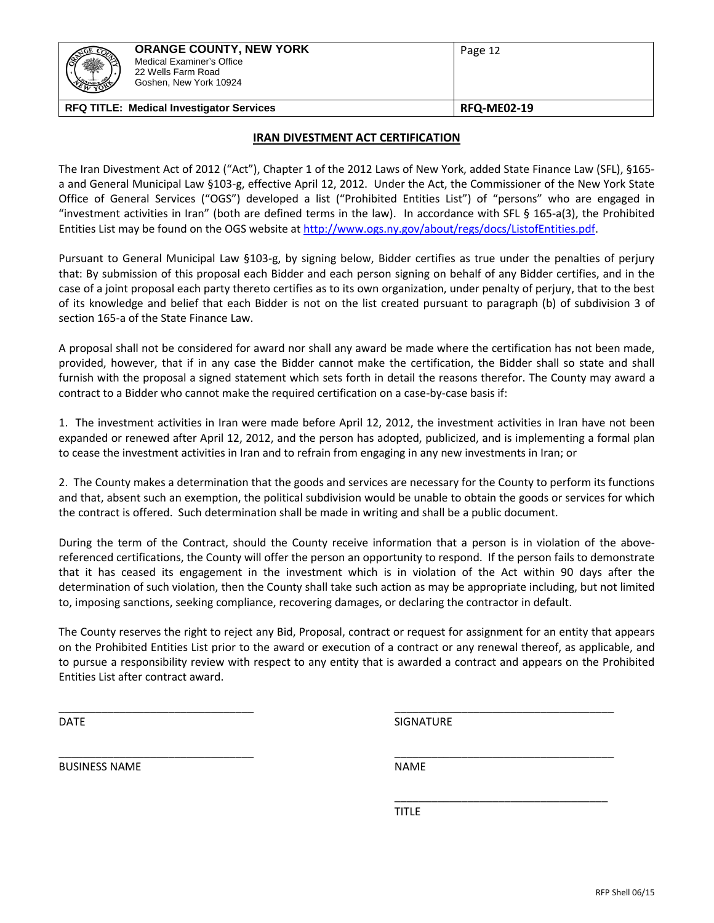| ▓<br><b>COMMERCIAL COMMERCIAL</b> | <b>ORANGE COUNTY, NEW YORK</b><br>Medical Examiner's Office<br>22 Wells Farm Road<br>Goshen, New York 10924 | Page 12            |
|-----------------------------------|-------------------------------------------------------------------------------------------------------------|--------------------|
|                                   | <b>RFQ TITLE: Medical Investigator Services</b>                                                             | <b>RFQ-ME02-19</b> |

## **IRAN DIVESTMENT ACT CERTIFICATION**

The Iran Divestment Act of 2012 ("Act"), Chapter 1 of the 2012 Laws of New York, added State Finance Law (SFL), §165 a and General Municipal Law §103-g, effective April 12, 2012. Under the Act, the Commissioner of the New York State Office of General Services ("OGS") developed a list ("Prohibited Entities List") of "persons" who are engaged in "investment activities in Iran" (both are defined terms in the law). In accordance with SFL § 165-a(3), the Prohibited Entities List may be found on the OGS website a[t http://www.ogs.ny.gov/about/regs/docs/ListofEntities.pdf.](http://www.ogs.ny.gov/about/regs/docs/ListofEntities.pdf)

Pursuant to General Municipal Law §103-g, by signing below, Bidder certifies as true under the penalties of perjury that: By submission of this proposal each Bidder and each person signing on behalf of any Bidder certifies, and in the case of a joint proposal each party thereto certifies as to its own organization, under penalty of perjury, that to the best of its knowledge and belief that each Bidder is not on the list created pursuant to paragraph (b) of subdivision 3 of section 165-a of the State Finance Law.

A proposal shall not be considered for award nor shall any award be made where the certification has not been made, provided, however, that if in any case the Bidder cannot make the certification, the Bidder shall so state and shall furnish with the proposal a signed statement which sets forth in detail the reasons therefor. The County may award a contract to a Bidder who cannot make the required certification on a case-by-case basis if:

1. The investment activities in Iran were made before April 12, 2012, the investment activities in Iran have not been expanded or renewed after April 12, 2012, and the person has adopted, publicized, and is implementing a formal plan to cease the investment activities in Iran and to refrain from engaging in any new investments in Iran; or

2. The County makes a determination that the goods and services are necessary for the County to perform its functions and that, absent such an exemption, the political subdivision would be unable to obtain the goods or services for which the contract is offered. Such determination shall be made in writing and shall be a public document.

During the term of the Contract, should the County receive information that a person is in violation of the abovereferenced certifications, the County will offer the person an opportunity to respond. If the person fails to demonstrate that it has ceased its engagement in the investment which is in violation of the Act within 90 days after the determination of such violation, then the County shall take such action as may be appropriate including, but not limited to, imposing sanctions, seeking compliance, recovering damages, or declaring the contractor in default.

The County reserves the right to reject any Bid, Proposal, contract or request for assignment for an entity that appears on the Prohibited Entities List prior to the award or execution of a contract or any renewal thereof, as applicable, and to pursue a responsibility review with respect to any entity that is awarded a contract and appears on the Prohibited Entities List after contract award.

\_\_\_\_\_\_\_\_\_\_\_\_\_\_\_\_\_\_\_\_\_\_\_\_\_\_\_\_\_\_\_\_ \_\_\_\_\_\_\_\_\_\_\_\_\_\_\_\_\_\_\_\_\_\_\_\_\_\_\_\_\_\_\_\_\_\_\_\_

\_\_\_\_\_\_\_\_\_\_\_\_\_\_\_\_\_\_\_\_\_\_\_\_\_\_\_\_\_\_\_\_ \_\_\_\_\_\_\_\_\_\_\_\_\_\_\_\_\_\_\_\_\_\_\_\_\_\_\_\_\_\_\_\_\_\_\_\_ DATE SIGNATURE

\_\_\_\_\_\_\_\_\_\_\_\_\_\_\_\_\_\_\_\_\_\_\_\_\_\_\_\_\_\_\_\_\_\_\_

BUSINESS NAME NAME

**TITLE**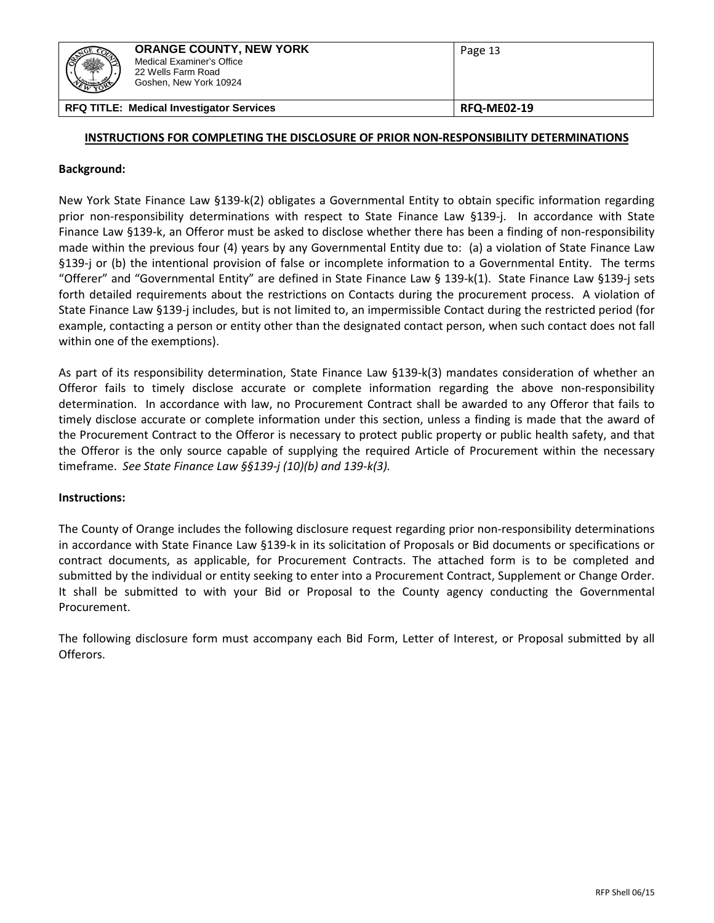| <b>STATE CO</b><br>爨<br><b>WARDEN</b> | <b>ORANGE COUNTY, NEW YORK</b><br>Medical Examiner's Office<br>22 Wells Farm Road<br>Goshen, New York 10924 | Page 13            |
|---------------------------------------|-------------------------------------------------------------------------------------------------------------|--------------------|
|                                       | <b>RFQ TITLE: Medical Investigator Services</b>                                                             | <b>RFQ-ME02-19</b> |

## **INSTRUCTIONS FOR COMPLETING THE DISCLOSURE OF PRIOR NON-RESPONSIBILITY DETERMINATIONS**

## **Background:**

New York State Finance Law §139-k(2) obligates a Governmental Entity to obtain specific information regarding prior non-responsibility determinations with respect to State Finance Law §139-j. In accordance with State Finance Law §139-k, an Offeror must be asked to disclose whether there has been a finding of non-responsibility made within the previous four (4) years by any Governmental Entity due to: (a) a violation of State Finance Law §139-j or (b) the intentional provision of false or incomplete information to a Governmental Entity. The terms "Offerer" and "Governmental Entity" are defined in State Finance Law § 139-k(1). State Finance Law §139-j sets forth detailed requirements about the restrictions on Contacts during the procurement process. A violation of State Finance Law §139-j includes, but is not limited to, an impermissible Contact during the restricted period (for example, contacting a person or entity other than the designated contact person, when such contact does not fall within one of the exemptions).

As part of its responsibility determination, State Finance Law §139-k(3) mandates consideration of whether an Offeror fails to timely disclose accurate or complete information regarding the above non-responsibility determination. In accordance with law, no Procurement Contract shall be awarded to any Offeror that fails to timely disclose accurate or complete information under this section, unless a finding is made that the award of the Procurement Contract to the Offeror is necessary to protect public property or public health safety, and that the Offeror is the only source capable of supplying the required Article of Procurement within the necessary timeframe. *See State Finance Law §§139-j (10)(b) and 139-k(3).*

## **Instructions:**

The County of Orange includes the following disclosure request regarding prior non-responsibility determinations in accordance with State Finance Law §139-k in its solicitation of Proposals or Bid documents or specifications or contract documents, as applicable, for Procurement Contracts. The attached form is to be completed and submitted by the individual or entity seeking to enter into a Procurement Contract, Supplement or Change Order. It shall be submitted to with your Bid or Proposal to the County agency conducting the Governmental Procurement.

The following disclosure form must accompany each Bid Form, Letter of Interest, or Proposal submitted by all Offerors.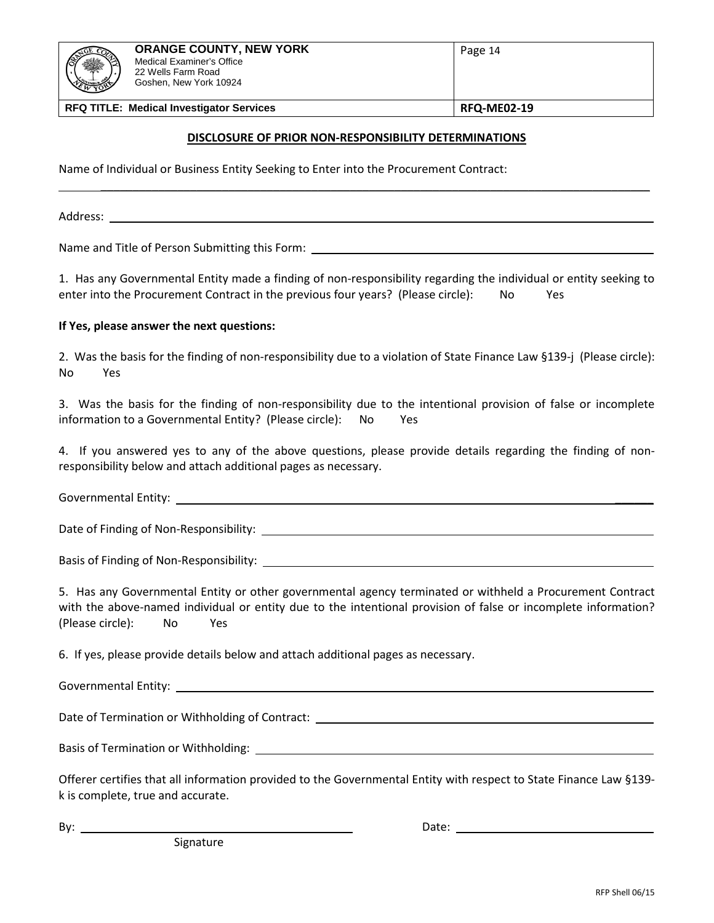| ※<br><b>HAMBERS</b> | <b>ORANGE COUNTY, NEW YORK</b><br>Medical Examiner's Office<br>22 Wells Farm Road<br>Goshen, New York 10924 | Page 14            |
|---------------------|-------------------------------------------------------------------------------------------------------------|--------------------|
|                     | <b>RFQ TITLE: Medical Investigator Services</b>                                                             | <b>RFQ-ME02-19</b> |

## **DISCLOSURE OF PRIOR NON-RESPONSIBILITY DETERMINATIONS**

\_\_\_\_\_\_\_\_\_\_\_\_\_\_\_\_\_\_\_\_\_\_\_\_\_\_\_\_\_\_\_\_\_\_\_\_\_\_\_\_\_\_\_\_\_\_\_\_\_\_\_\_\_\_\_\_\_\_\_\_\_\_\_\_\_\_\_\_\_\_\_\_\_\_\_\_\_\_\_\_\_\_\_\_\_\_

Name of Individual or Business Entity Seeking to Enter into the Procurement Contract:

Address: \_\_\_\_

Name and Title of Person Submitting this Form: \_\_\_\_\_\_\_\_\_\_\_\_\_\_\_\_\_\_\_\_\_\_\_\_\_\_\_\_\_\_\_\_\_\_

1. Has any Governmental Entity made a finding of non-responsibility regarding the individual or entity seeking to enter into the Procurement Contract in the previous four years? (Please circle): No Yes

#### **If Yes, please answer the next questions:**

2. Was the basis for the finding of non-responsibility due to a violation of State Finance Law §139-j (Please circle): No Yes

3. Was the basis for the finding of non-responsibility due to the intentional provision of false or incomplete information to a Governmental Entity? (Please circle): No Yes

4. If you answered yes to any of the above questions, please provide details regarding the finding of nonresponsibility below and attach additional pages as necessary.

Governmental Entity: **Example 2018** 

Date of Finding of Non-Responsibility:

Basis of Finding of Non-Responsibility:

5. Has any Governmental Entity or other governmental agency terminated or withheld a Procurement Contract with the above-named individual or entity due to the intentional provision of false or incomplete information? (Please circle): No Yes

6. If yes, please provide details below and attach additional pages as necessary.

Governmental Entity:

Date of Termination or Withholding of Contract: \_\_\_\_\_\_\_\_\_\_\_\_\_\_\_\_\_\_\_\_\_\_\_\_\_\_\_\_\_\_\_\_\_

Basis of Termination or Withholding:

Offerer certifies that all information provided to the Governmental Entity with respect to State Finance Law §139 k is complete, true and accurate.

Signature

By: Date: The contract of the contract of the contract of the contract of the contract of the contract of the contract of the contract of the contract of the contract of the contract of the contract of the contract of the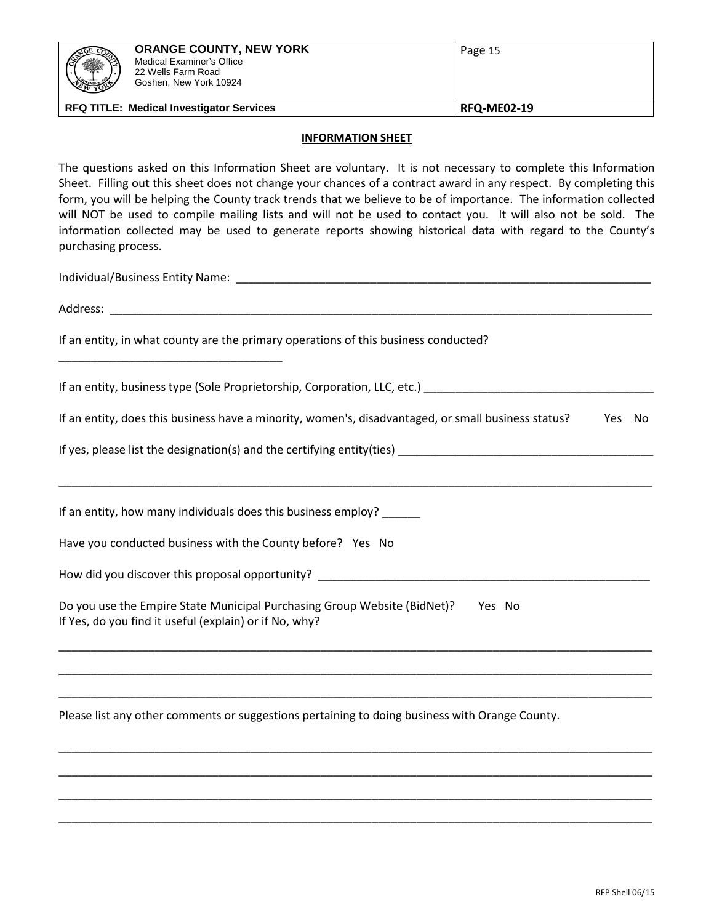| 爨<br>$\overline{w}$ $\overline{w}$ | <b>ORANGE COUNTY, NEW YORK</b><br>Medical Examiner's Office<br>22 Wells Farm Road<br>Goshen, New York 10924 | Page 15            |
|------------------------------------|-------------------------------------------------------------------------------------------------------------|--------------------|
|                                    | <b>RFQ TITLE: Medical Investigator Services</b>                                                             | <b>RFQ-ME02-19</b> |

## **INFORMATION SHEET**

The questions asked on this Information Sheet are voluntary. It is not necessary to complete this Information Sheet. Filling out this sheet does not change your chances of a contract award in any respect. By completing this form, you will be helping the County track trends that we believe to be of importance. The information collected will NOT be used to compile mailing lists and will not be used to contact you. It will also not be sold. The information collected may be used to generate reports showing historical data with regard to the County's purchasing process.

Individual/Business Entity Name: \_\_\_\_\_\_\_\_\_\_\_\_\_\_\_\_\_\_\_\_\_\_\_\_\_\_\_\_\_\_\_\_\_\_\_\_\_\_\_\_\_\_\_\_\_\_\_\_\_\_\_\_\_\_\_\_\_\_\_\_\_\_\_\_\_

\_\_\_\_\_\_\_\_\_\_\_\_\_\_\_\_\_\_\_\_\_\_\_\_\_\_\_\_\_\_\_\_\_\_\_

Address:

If an entity, in what county are the primary operations of this business conducted?

If an entity, business type (Sole Proprietorship, Corporation, LLC, etc.)

If an entity, does this business have a minority, women's, disadvantaged, or small business status? Yes No

\_\_\_\_\_\_\_\_\_\_\_\_\_\_\_\_\_\_\_\_\_\_\_\_\_\_\_\_\_\_\_\_\_\_\_\_\_\_\_\_\_\_\_\_\_\_\_\_\_\_\_\_\_\_\_\_\_\_\_\_\_\_\_\_\_\_\_\_\_\_\_\_\_\_\_\_\_\_\_\_\_\_\_\_\_\_\_\_\_\_\_\_\_

\_\_\_\_\_\_\_\_\_\_\_\_\_\_\_\_\_\_\_\_\_\_\_\_\_\_\_\_\_\_\_\_\_\_\_\_\_\_\_\_\_\_\_\_\_\_\_\_\_\_\_\_\_\_\_\_\_\_\_\_\_\_\_\_\_\_\_\_\_\_\_\_\_\_\_\_\_\_\_\_\_\_\_\_\_\_\_\_\_\_\_\_\_

\_\_\_\_\_\_\_\_\_\_\_\_\_\_\_\_\_\_\_\_\_\_\_\_\_\_\_\_\_\_\_\_\_\_\_\_\_\_\_\_\_\_\_\_\_\_\_\_\_\_\_\_\_\_\_\_\_\_\_\_\_\_\_\_\_\_\_\_\_\_\_\_\_\_\_\_\_\_\_\_\_\_\_\_\_\_\_\_\_\_\_\_\_

\_\_\_\_\_\_\_\_\_\_\_\_\_\_\_\_\_\_\_\_\_\_\_\_\_\_\_\_\_\_\_\_\_\_\_\_\_\_\_\_\_\_\_\_\_\_\_\_\_\_\_\_\_\_\_\_\_\_\_\_\_\_\_\_\_\_\_\_\_\_\_\_\_\_\_\_\_\_\_\_\_\_\_\_\_\_\_\_\_\_\_\_\_

\_\_\_\_\_\_\_\_\_\_\_\_\_\_\_\_\_\_\_\_\_\_\_\_\_\_\_\_\_\_\_\_\_\_\_\_\_\_\_\_\_\_\_\_\_\_\_\_\_\_\_\_\_\_\_\_\_\_\_\_\_\_\_\_\_\_\_\_\_\_\_\_\_\_\_\_\_\_\_\_\_\_\_\_\_\_\_\_\_\_\_\_\_

\_\_\_\_\_\_\_\_\_\_\_\_\_\_\_\_\_\_\_\_\_\_\_\_\_\_\_\_\_\_\_\_\_\_\_\_\_\_\_\_\_\_\_\_\_\_\_\_\_\_\_\_\_\_\_\_\_\_\_\_\_\_\_\_\_\_\_\_\_\_\_\_\_\_\_\_\_\_\_\_\_\_\_\_\_\_\_\_\_\_\_\_\_

\_\_\_\_\_\_\_\_\_\_\_\_\_\_\_\_\_\_\_\_\_\_\_\_\_\_\_\_\_\_\_\_\_\_\_\_\_\_\_\_\_\_\_\_\_\_\_\_\_\_\_\_\_\_\_\_\_\_\_\_\_\_\_\_\_\_\_\_\_\_\_\_\_\_\_\_\_\_\_\_\_\_\_\_\_\_\_\_\_\_\_\_\_

\_\_\_\_\_\_\_\_\_\_\_\_\_\_\_\_\_\_\_\_\_\_\_\_\_\_\_\_\_\_\_\_\_\_\_\_\_\_\_\_\_\_\_\_\_\_\_\_\_\_\_\_\_\_\_\_\_\_\_\_\_\_\_\_\_\_\_\_\_\_\_\_\_\_\_\_\_\_\_\_\_\_\_\_\_\_\_\_\_\_\_\_\_

If yes, please list the designation(s) and the certifying entity(ties) \_\_\_\_\_\_\_\_\_\_\_\_\_\_\_\_\_\_\_\_\_\_\_\_\_\_\_\_\_\_\_\_\_\_\_\_\_\_\_\_

If an entity, how many individuals does this business employ? \_\_\_\_\_\_

Have you conducted business with the County before? Yes No

How did you discover this proposal opportunity? \_\_\_\_\_\_\_\_\_\_\_\_\_\_\_\_\_\_\_\_\_\_\_\_\_\_\_\_\_\_\_\_\_\_\_\_\_\_\_\_\_\_\_\_\_\_\_\_\_\_\_\_

| Do you use the Empire State Municipal Purchasing Group Website (BidNet)? | Yes No |  |
|--------------------------------------------------------------------------|--------|--|
| If Yes, do you find it useful (explain) or if No, why?                   |        |  |

Please list any other comments or suggestions pertaining to doing business with Orange County.